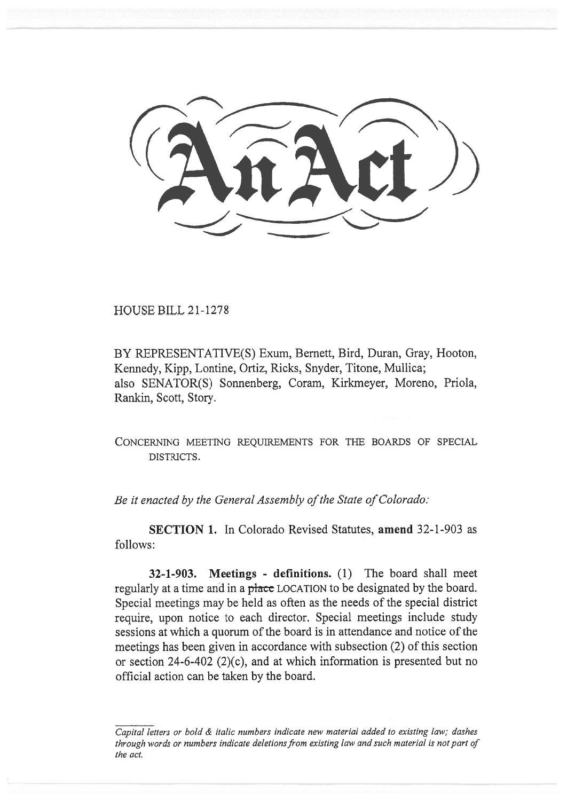HOUSE BILL 21-1278

BY REPRESENTATIVE(S) Exum, Bernett, Bird, Duran, Gray, Hooton, Kennedy, Kipp, Lontine, Ortiz, Ricks, Snyder, Titone, Mullica; also SENATOR(S) Sonnenberg, Coram, Kirkmeyer, Moreno, Priola, Rankin, Scott, Story.

CONCERNING MEETING REQUIREMENTS FOR THE BOARDS OF SPECIAL DISTRICTS.

Be it enacted by the General Assembly of the State of Colorado:

SECTION 1. In Colorado Revised Statutes, amend 32-1-903 as follows:

32-1-903. Meetings - definitions. (1) The board shall meet regularly at a time and in a place LOCATION to be designated by the board. Special meetings may be held as often as the needs of the special district require, upon notice to each director. Special meetings include study sessions at which a quorum of the board is in attendance and notice of the meetings has been given in accordance with subsection (2) of this section or section 24-6-402 (2)(c), and at which information is presented but no official action can be taken by the board.

Capital letters or bold & italic numbers indicate new material added to existing law; dashes through words or numbers indicate deletions from existing law and such material is not part of the act.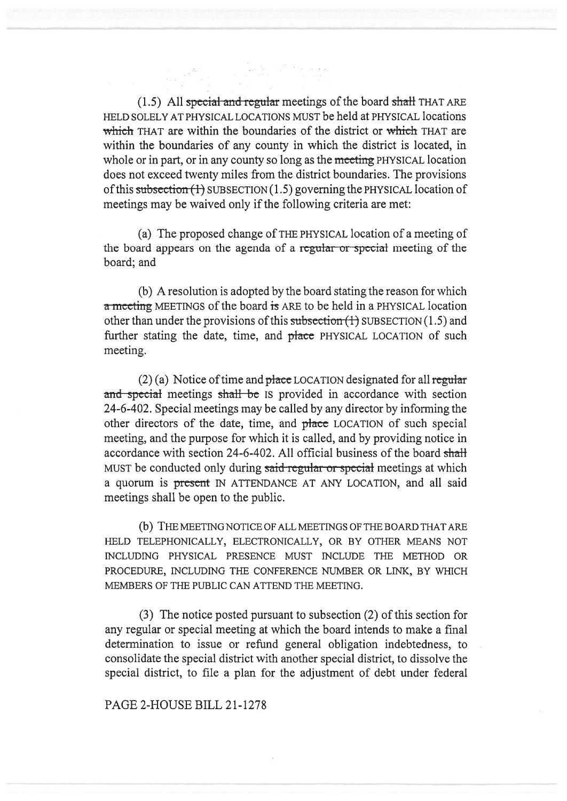$(1.5)$  All special and regular meetings of the board shall THAT ARE HELD SOLELY AT PHYSICAL LOCATIONS MUST be held at PHYSICAL locations which THAT are within the boundaries of the district or which THAT are within the boundaries of any county in which the district is located, in whole or in part, or in any county so long as the meeting PHYSICAL location does not exceed twenty miles from the district boundaries. The provisions of this subsection  $(1)$  SUBSECTION  $(1.5)$  governing the PHYSICAL location of meetings may be waived only if the following criteria are met:

(a) The proposed change of THE PHYSICAL location of a meeting of the board appears on the agenda of a regular or special meeting of the board; and

(b) A resolution is adopted by the board stating the reason for which a meeting MEETINGS of the board is ARE to be held in a PHYSICAL location other than under the provisions of this subsection  $(1)$  SUBSECTION  $(1.5)$  and further stating the date, time, and place PHYSICAL LOCATION of such meeting.

 $(2)$  (a) Notice of time and place LOCATION designated for all regular and special meetings shall be IS provided in accordance with section 24-6-402. Special meetings may be called by any director by informing the other directors of the date, time, and placc LOCATION of such special meeting, and the purpose for which it is called, and by providing notice in accordance with section 24-6-402. All official business of the board shall MUST be conducted only during said regular or special meetings at which a quorum is present IN ATTENDANCE AT ANY LOCATION, and all said meetings shall be open to the public.

(b) THE MEETING NOTICE OF ALL MEETINGS OF THE BOARD THAT ARE HELD TELEPHONICALLY, ELECTRONICALLY, OR BY OTHER MEANS NOT INCLUDING PHYSICAL PRESENCE MUST INCLUDE THE METHOD OR PROCEDURE, INCLUDING THE CONFERENCE NUMBER OR LINK, BY WHICH MEMBERS OF THE PUBLIC CAN ATTEND THE MEETING.

(3) The notice posted pursuant to subsection (2) of this section for any regular or special meeting at which the board intends to make a final determination to issue or refund general obligation indebtedness, to consolidate the special district with another special district, to dissolve the special district, to file a plan for the adjustment of debt under federal

## PAGE 2-HOUSE BILL 21-1278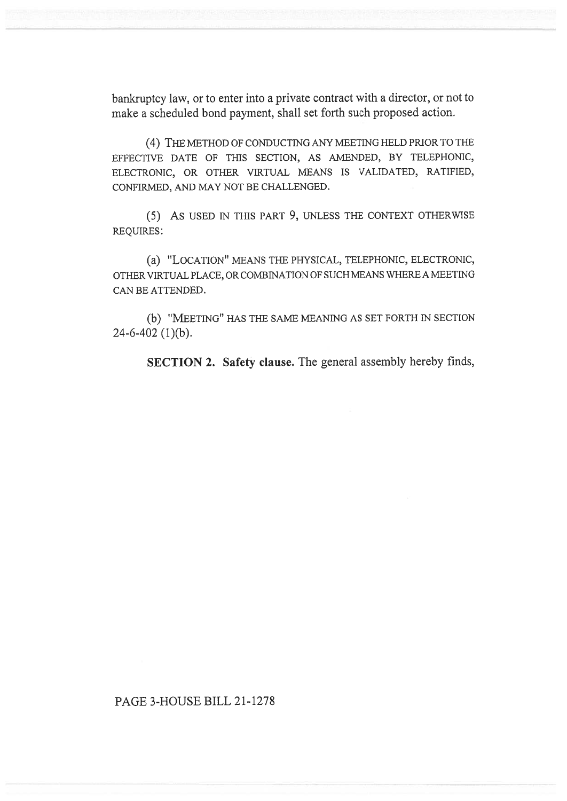bankruptcy law, or to enter into a private contract with a director, or not to make a scheduled bond payment, shall set forth such proposed action.

(4) THE METHOD OF CONDUCTING ANY MEETING HELD PRIOR TO THE EFFECTIVE DATE OF THIS SECTION, AS AMENDED, BY TELEPHONIC, ELECTRONIC, OR OTHER VIRTUAL MEANS IS VALIDATED, RATIFIED, CONFIRMED, AND MAY NOT BE CHALLENGED.

(5) As USED IN THIS PART 9, UNLESS THE CONTEXT OTHERWISE REQUIRES:

(a) "LOCATION" MEANS THE PHYSICAL, TELEPHONIC, ELECTRONIC, OTHER VIRTUAL PLACE, OR COMBINATION OF SUCH MEANS WHERE A MEETING CAN BE ATTENDED.

(b) "MEETING" HAS THE SAME MEANING AS SET FORTH IN SECTION 24-6-402 (1)(b).

SECTION 2. Safety clause. The general assembly hereby finds,

## PAGE 3-HOUSE BILL 21-1278